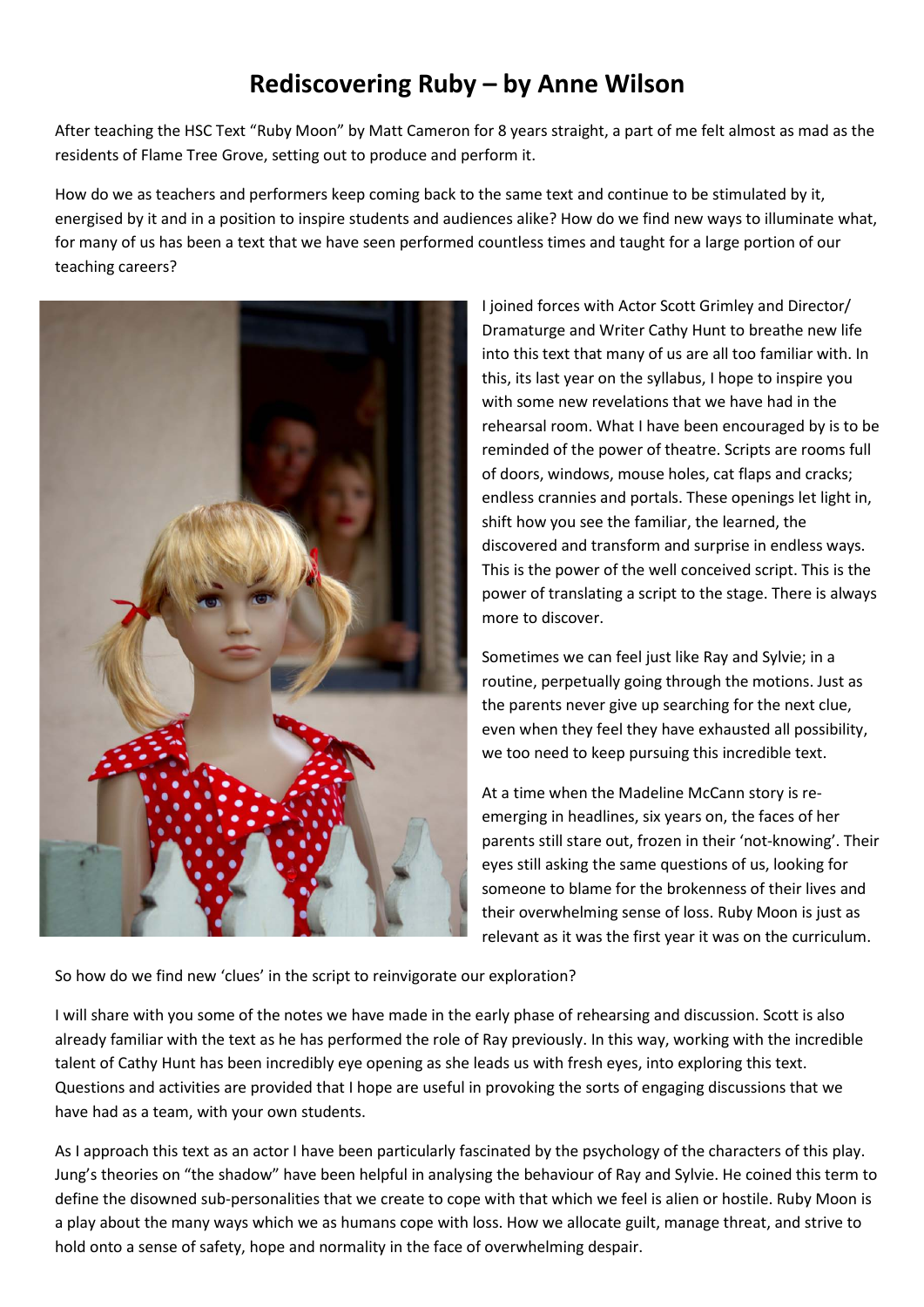# **Rediscovering Ruby – by Anne Wilson**

After teaching the HSC Text "Ruby Moon" by Matt Cameron for 8 years straight, a part of me felt almost as mad as the residents of Flame Tree Grove, setting out to produce and perform it.

How do we as teachers and performers keep coming back to the same text and continue to be stimulated by it, energised by it and in a position to inspire students and audiences alike? How do we find new ways to illuminate what, for many of us has been a text that we have seen performed countless times and taught for a large portion of our teaching careers?



I joined forces with Actor Scott Grimley and Director/ Dramaturge and Writer Cathy Hunt to breathe new life into this text that many of us are all too familiar with. In this, its last year on the syllabus, I hope to inspire you with some new revelations that we have had in the rehearsal room. What I have been encouraged by is to be reminded of the power of theatre. Scripts are rooms full of doors, windows, mouse holes, cat flaps and cracks; endless crannies and portals. These openings let light in, shift how you see the familiar, the learned, the discovered and transform and surprise in endless ways. This is the power of the well conceived script. This is the power of translating a script to the stage. There is always more to discover.

Sometimes we can feel just like Ray and Sylvie; in a routine, perpetually going through the motions. Just as the parents never give up searching for the next clue, even when they feel they have exhausted all possibility, we too need to keep pursuing this incredible text.

At a time when the Madeline McCann story is reemerging in headlines, six years on, the faces of her parents still stare out, frozen in their 'not-knowing'. Their eyes still asking the same questions of us, looking for someone to blame for the brokenness of their lives and their overwhelming sense of loss. Ruby Moon is just as relevant as it was the first year it was on the curriculum.

So how do we find new 'clues' in the script to reinvigorate our exploration?

I will share with you some of the notes we have made in the early phase of rehearsing and discussion. Scott is also already familiar with the text as he has performed the role of Ray previously. In this way, working with the incredible talent of Cathy Hunt has been incredibly eye opening as she leads us with fresh eyes, into exploring this text. Questions and activities are provided that I hope are useful in provoking the sorts of engaging discussions that we have had as a team, with your own students.

As I approach this text as an actor I have been particularly fascinated by the psychology of the characters of this play. Jung's theories on "the shadow" have been helpful in analysing the behaviour of Ray and Sylvie. He coined this term to define the disowned sub-personalities that we create to cope with that which we feel is alien or hostile. Ruby Moon is a play about the many ways which we as humans cope with loss. How we allocate guilt, manage threat, and strive to hold onto a sense of safety, hope and normality in the face of overwhelming despair.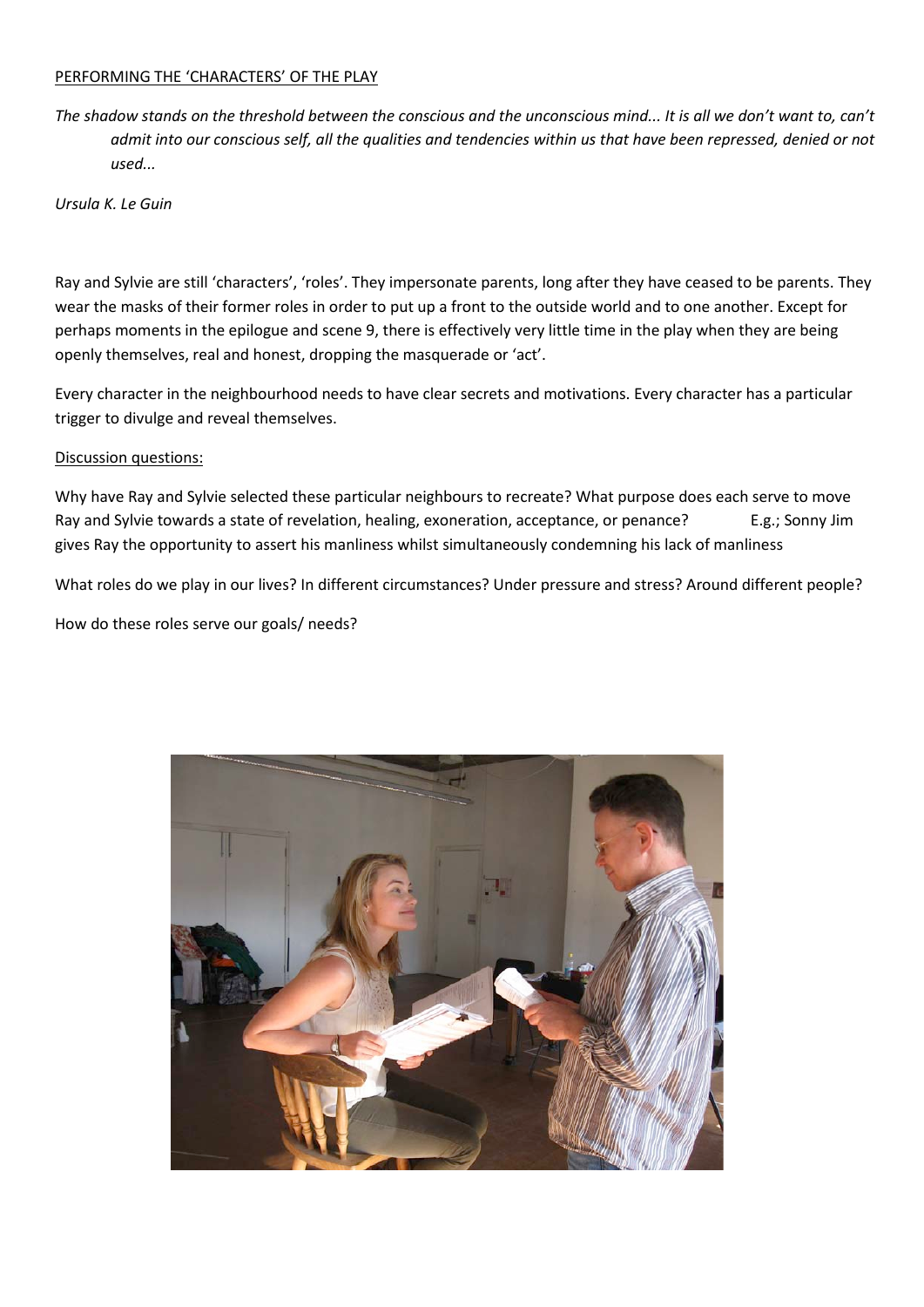#### PERFORMING THE 'CHARACTERS' OF THE PLAY

*The shadow stands on the threshold between the conscious and the unconscious mind... It is all we don't want to, can't admit into our conscious self, all the qualities and tendencies within us that have been repressed, denied or not used...*

*Ursula K. Le Guin*

Ray and Sylvie are still 'characters', 'roles'. They impersonate parents, long after they have ceased to be parents. They wear the masks of their former roles in order to put up a front to the outside world and to one another. Except for perhaps moments in the epilogue and scene 9, there is effectively very little time in the play when they are being openly themselves, real and honest, dropping the masquerade or 'act'.

Every character in the neighbourhood needs to have clear secrets and motivations. Every character has a particular trigger to divulge and reveal themselves.

#### Discussion questions:

Why have Ray and Sylvie selected these particular neighbours to recreate? What purpose does each serve to move Ray and Sylvie towards a state of revelation, healing, exoneration, acceptance, or penance? E.g.; Sonny Jim gives Ray the opportunity to assert his manliness whilst simultaneously condemning his lack of manliness

What roles do we play in our lives? In different circumstances? Under pressure and stress? Around different people?

How do these roles serve our goals/ needs?

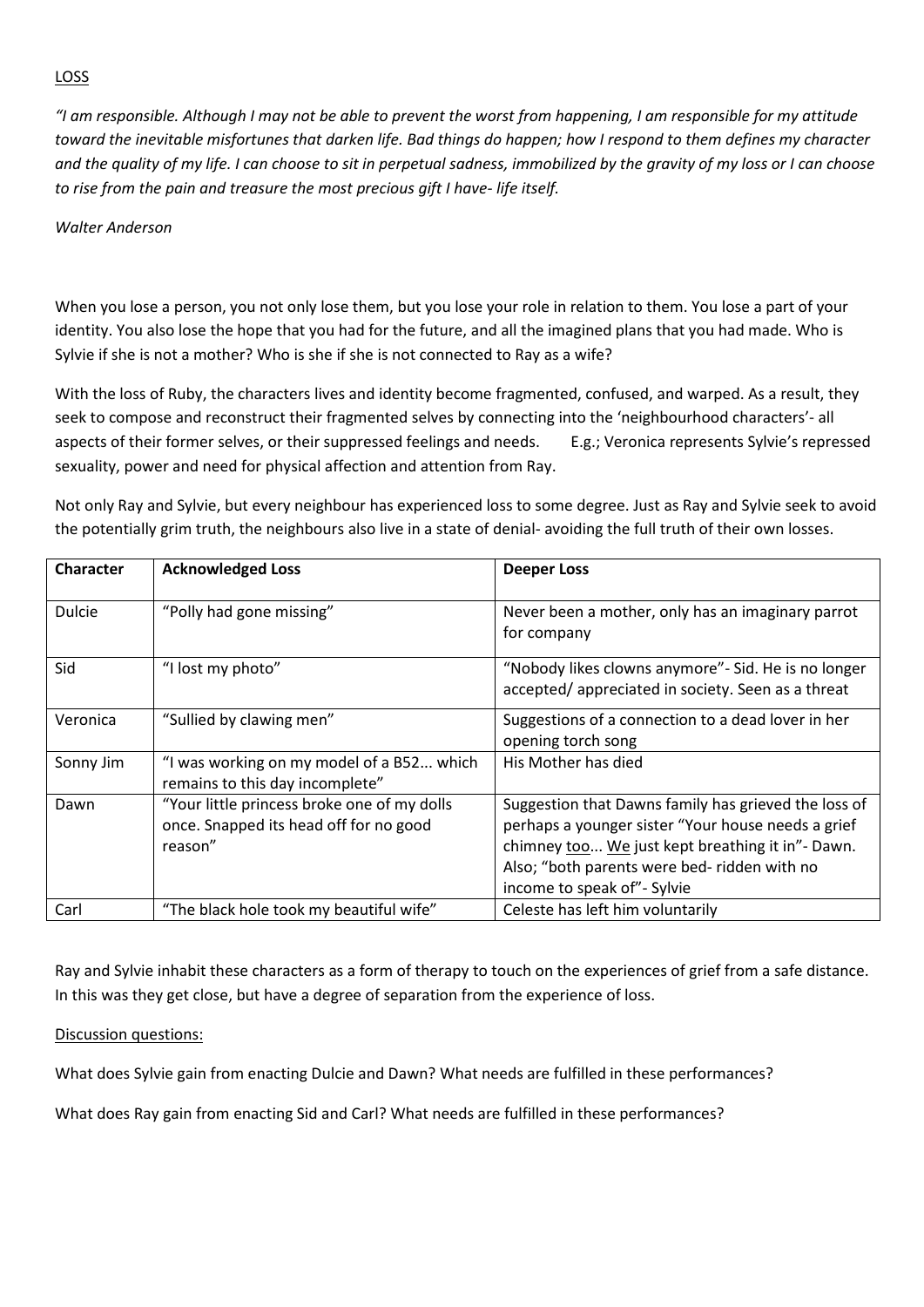## LOSS

*"I am responsible. Although I may not be able to prevent the worst from happening, I am responsible for my attitude toward the inevitable misfortunes that darken life. Bad things do happen; how I respond to them defines my character and the quality of my life. I can choose to sit in perpetual sadness, immobilized by the gravity of my loss or I can choose to rise from the pain and treasure the most precious gift I have- life itself.*

#### *Walter Anderson*

When you lose a person, you not only lose them, but you lose your role in relation to them. You lose a part of your identity. You also lose the hope that you had for the future, and all the imagined plans that you had made. Who is Sylvie if she is not a mother? Who is she if she is not connected to Ray as a wife?

With the loss of Ruby, the characters lives and identity become fragmented, confused, and warped. As a result, they seek to compose and reconstruct their fragmented selves by connecting into the 'neighbourhood characters'- all aspects of their former selves, or their suppressed feelings and needs. E.g.; Veronica represents Sylvie's repressed sexuality, power and need for physical affection and attention from Ray.

Not only Ray and Sylvie, but every neighbour has experienced loss to some degree. Just as Ray and Sylvie seek to avoid the potentially grim truth, the neighbours also live in a state of denial- avoiding the full truth of their own losses.

| <b>Character</b> | <b>Acknowledged Loss</b>                                                                         | <b>Deeper Loss</b>                                                                                                                                                                                                                             |
|------------------|--------------------------------------------------------------------------------------------------|------------------------------------------------------------------------------------------------------------------------------------------------------------------------------------------------------------------------------------------------|
| <b>Dulcie</b>    | "Polly had gone missing"                                                                         | Never been a mother, only has an imaginary parrot<br>for company                                                                                                                                                                               |
| Sid              | "I lost my photo"                                                                                | "Nobody likes clowns anymore" - Sid. He is no longer<br>accepted/appreciated in society. Seen as a threat                                                                                                                                      |
| Veronica         | "Sullied by clawing men"                                                                         | Suggestions of a connection to a dead lover in her<br>opening torch song                                                                                                                                                                       |
| Sonny Jim        | "I was working on my model of a B52 which<br>remains to this day incomplete"                     | His Mother has died                                                                                                                                                                                                                            |
| Dawn             | "Your little princess broke one of my dolls<br>once. Snapped its head off for no good<br>reason" | Suggestion that Dawns family has grieved the loss of<br>perhaps a younger sister "Your house needs a grief<br>chimney too We just kept breathing it in"- Dawn.<br>Also; "both parents were bed- ridden with no<br>income to speak of" - Sylvie |
| Carl             | "The black hole took my beautiful wife"                                                          | Celeste has left him voluntarily                                                                                                                                                                                                               |

Ray and Sylvie inhabit these characters as a form of therapy to touch on the experiences of grief from a safe distance. In this was they get close, but have a degree of separation from the experience of loss.

## Discussion questions:

What does Sylvie gain from enacting Dulcie and Dawn? What needs are fulfilled in these performances?

What does Ray gain from enacting Sid and Carl? What needs are fulfilled in these performances?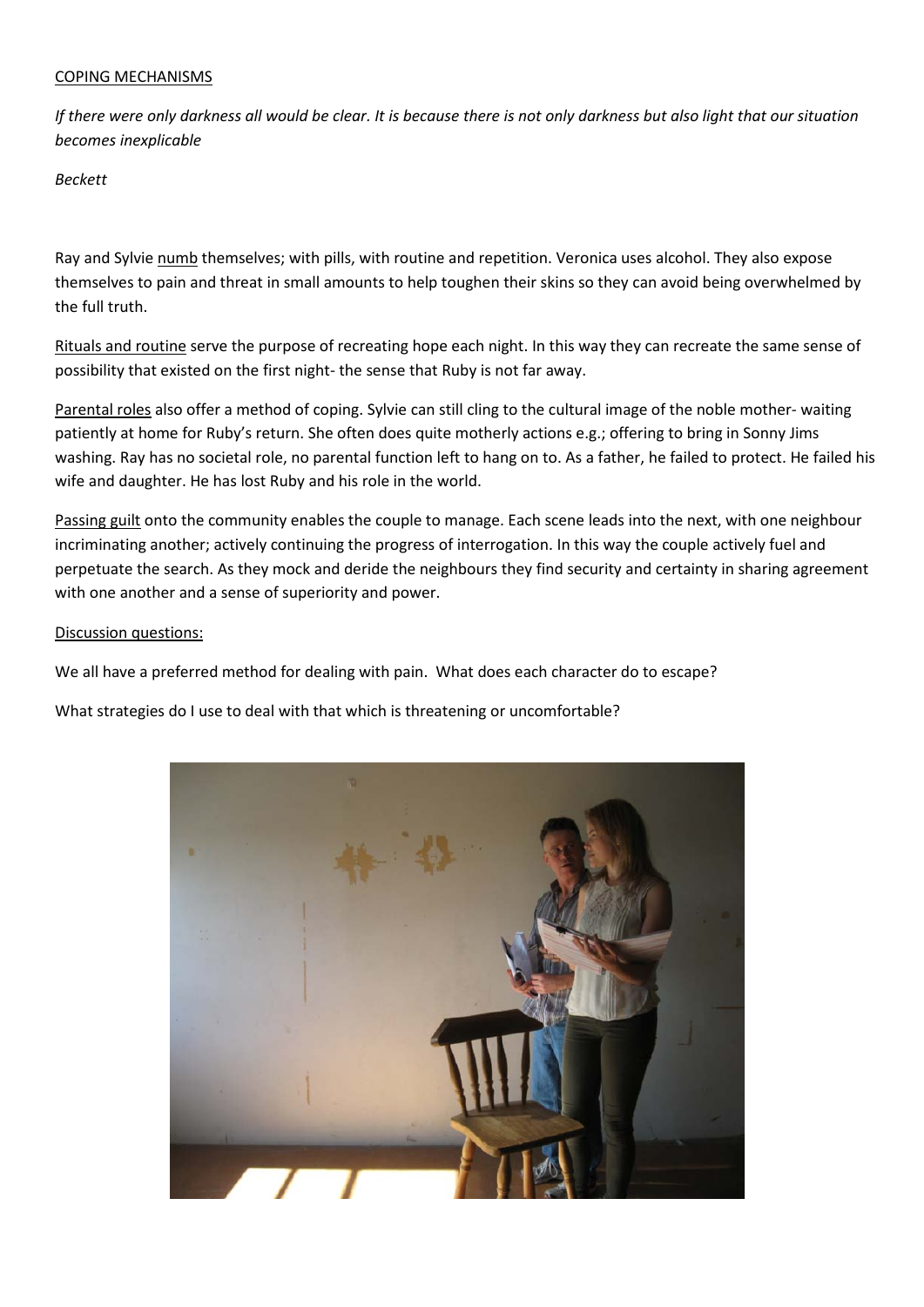#### COPING MECHANISMS

*If there were only darkness all would be clear. It is because there is not only darkness but also light that our situation becomes inexplicable*

*Beckett*

Ray and Sylvie numb themselves; with pills, with routine and repetition. Veronica uses alcohol. They also expose themselves to pain and threat in small amounts to help toughen their skins so they can avoid being overwhelmed by the full truth.

Rituals and routine serve the purpose of recreating hope each night. In this way they can recreate the same sense of possibility that existed on the first night- the sense that Ruby is not far away.

Parental roles also offer a method of coping. Sylvie can still cling to the cultural image of the noble mother- waiting patiently at home for Ruby's return. She often does quite motherly actions e.g.; offering to bring in Sonny Jims washing. Ray has no societal role, no parental function left to hang on to. As a father, he failed to protect. He failed his wife and daughter. He has lost Ruby and his role in the world.

Passing guilt onto the community enables the couple to manage. Each scene leads into the next, with one neighbour incriminating another; actively continuing the progress of interrogation. In this way the couple actively fuel and perpetuate the search. As they mock and deride the neighbours they find security and certainty in sharing agreement with one another and a sense of superiority and power.

#### Discussion questions:

We all have a preferred method for dealing with pain. What does each character do to escape?

What strategies do I use to deal with that which is threatening or uncomfortable?

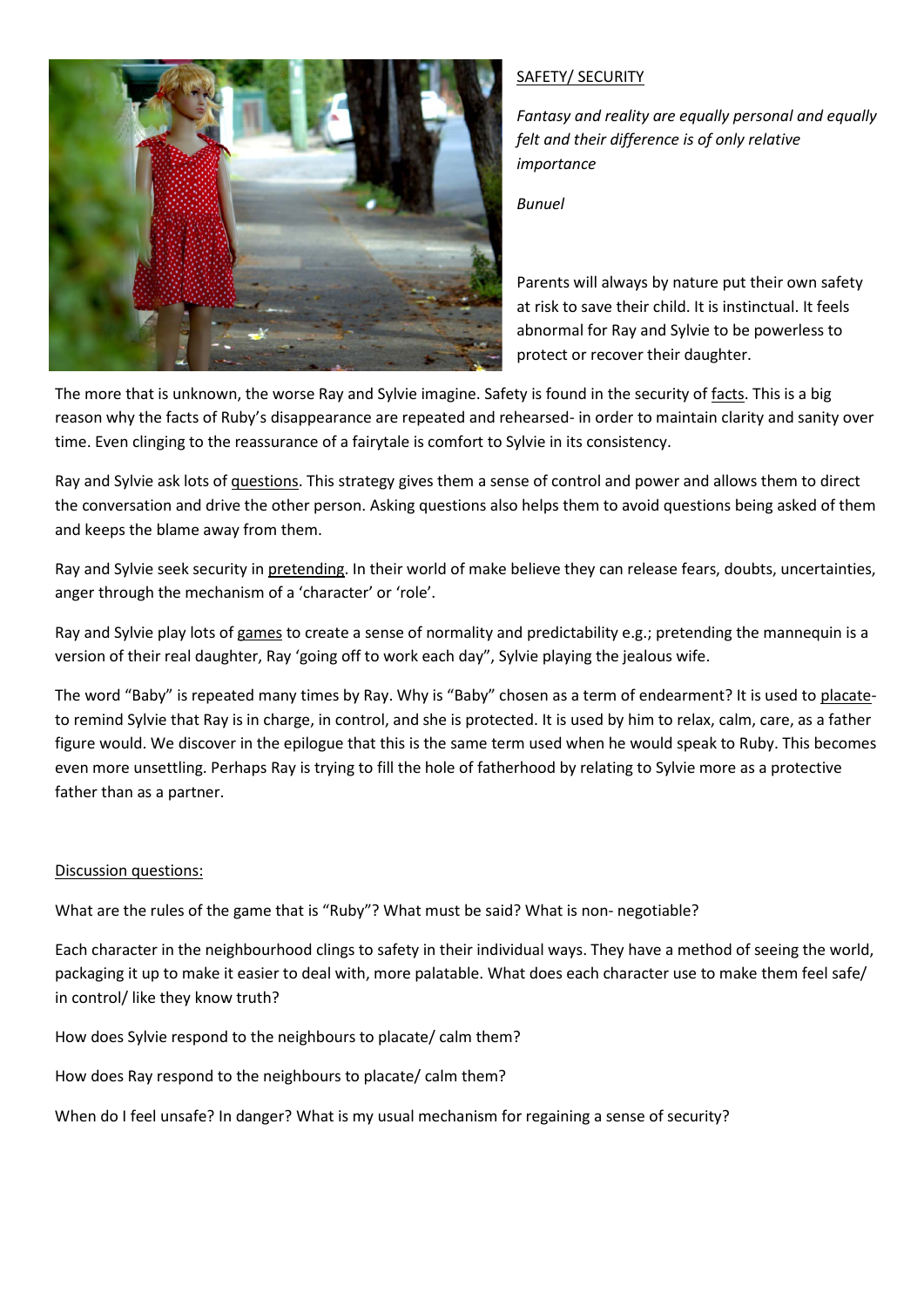

# SAFETY/ SECURITY

*Fantasy and reality are equally personal and equally felt and their difference is of only relative importance*

*Bunuel*

Parents will always by nature put their own safety at risk to save their child. It is instinctual. It feels abnormal for Ray and Sylvie to be powerless to protect or recover their daughter.

The more that is unknown, the worse Ray and Sylvie imagine. Safety is found in the security of facts. This is a big reason why the facts of Ruby's disappearance are repeated and rehearsed- in order to maintain clarity and sanity over time. Even clinging to the reassurance of a fairytale is comfort to Sylvie in its consistency.

Ray and Sylvie ask lots of questions. This strategy gives them a sense of control and power and allows them to direct the conversation and drive the other person. Asking questions also helps them to avoid questions being asked of them and keeps the blame away from them.

Ray and Sylvie seek security in pretending. In their world of make believe they can release fears, doubts, uncertainties, anger through the mechanism of a 'character' or 'role'.

Ray and Sylvie play lots of games to create a sense of normality and predictability e.g.; pretending the mannequin is a version of their real daughter, Ray 'going off to work each day", Sylvie playing the jealous wife.

The word "Baby" is repeated many times by Ray. Why is "Baby" chosen as a term of endearment? It is used to placateto remind Sylvie that Ray is in charge, in control, and she is protected. It is used by him to relax, calm, care, as a father figure would. We discover in the epilogue that this is the same term used when he would speak to Ruby. This becomes even more unsettling. Perhaps Ray is trying to fill the hole of fatherhood by relating to Sylvie more as a protective father than as a partner.

#### Discussion questions:

What are the rules of the game that is "Ruby"? What must be said? What is non- negotiable?

Each character in the neighbourhood clings to safety in their individual ways. They have a method of seeing the world, packaging it up to make it easier to deal with, more palatable. What does each character use to make them feel safe/ in control/ like they know truth?

How does Sylvie respond to the neighbours to placate/ calm them?

How does Ray respond to the neighbours to placate/ calm them?

When do I feel unsafe? In danger? What is my usual mechanism for regaining a sense of security?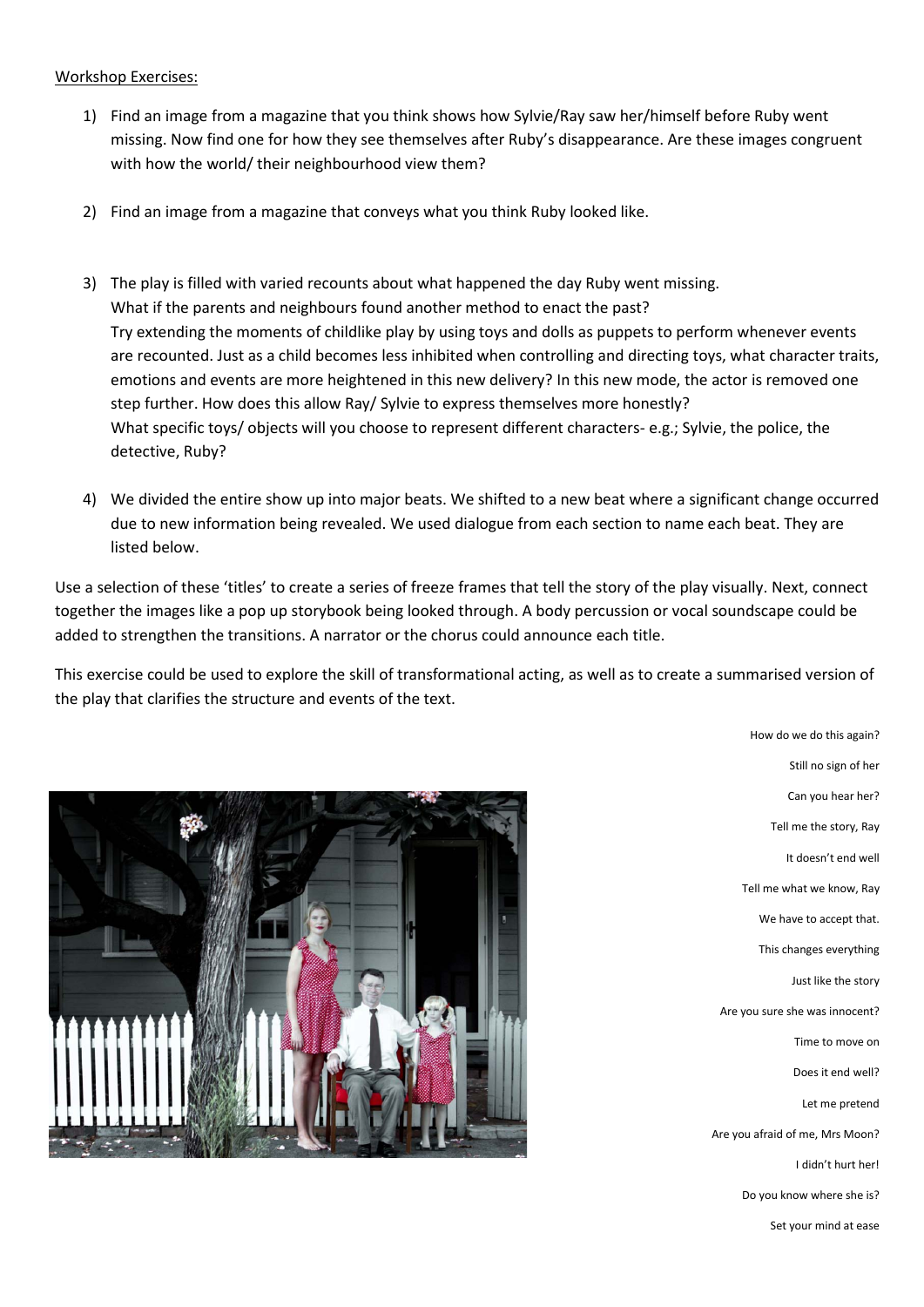#### Workshop Exercises:

- 1) Find an image from a magazine that you think shows how Sylvie/Ray saw her/himself before Ruby went missing. Now find one for how they see themselves after Ruby's disappearance. Are these images congruent with how the world/ their neighbourhood view them?
- 2) Find an image from a magazine that conveys what you think Ruby looked like.
- 3) The play is filled with varied recounts about what happened the day Ruby went missing. What if the parents and neighbours found another method to enact the past? Try extending the moments of childlike play by using toys and dolls as puppets to perform whenever events are recounted. Just as a child becomes less inhibited when controlling and directing toys, what character traits, emotions and events are more heightened in this new delivery? In this new mode, the actor is removed one step further. How does this allow Ray/ Sylvie to express themselves more honestly? What specific toys/ objects will you choose to represent different characters- e.g.; Sylvie, the police, the detective, Ruby?
- 4) We divided the entire show up into major beats. We shifted to a new beat where a significant change occurred due to new information being revealed. We used dialogue from each section to name each beat. They are listed below.

Use a selection of these 'titles' to create a series of freeze frames that tell the story of the play visually. Next, connect together the images like a pop up storybook being looked through. A body percussion or vocal soundscape could be added to strengthen the transitions. A narrator or the chorus could announce each title.

This exercise could be used to explore the skill of transformational acting, as well as to create a summarised version of the play that clarifies the structure and events of the text.



Still no sign of her Can you hear her? Tell me the story, Ray It doesn't end well Tell me what we know, Ray We have to accept that. This changes everything Just like the story Are you sure she was innocent? Time to move on Does it end well? Let me pretend Are you afraid of me, Mrs Moon? I didn't hurt her! Do you know where she is?

How do we do this again?

Set your mind at ease